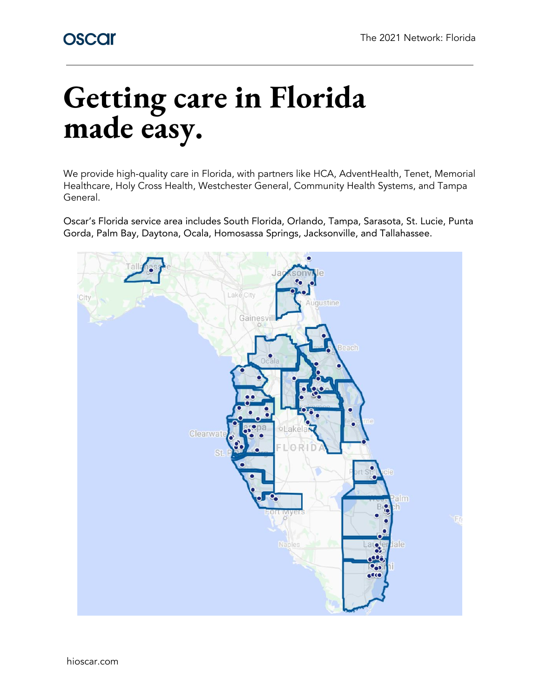# **Getting care in Florida made easy.**

We provide high-quality care in Florida, with partners like HCA, AdventHealth, Tenet, Memorial Healthcare, Holy Cross Health, Westchester General, Community Health Systems, and Tampa General.

Oscar's Florida service area includes South Florida, Orlando, Tampa, Sarasota, St. Lucie, Punta Gorda, Palm Bay, Daytona, Ocala, Homosassa Springs, Jacksonville, and Tallahassee.

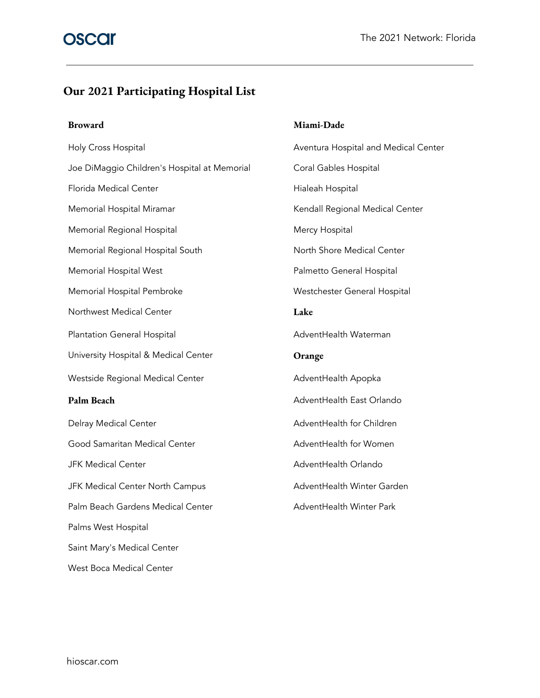### **Our 2021 Participating Hospital List**

Holy Cross Hospital **Aventura Hospital and Medical Center** Aventura Hospital and Medical Center Joe DiMaggio Children's Hospital at Memorial Coral Gables Hospital Florida Medical Center **Hialeah Hospital** Hospital Memorial Hospital Miramar New York Channel Regional Medical Center Memorial Regional Hospital Memorial Regional Hospital Mercy Hospital Memorial Regional Hospital South North Shore Medical Center Memorial Hospital West **Palmetto General Hospital** Memorial Hospital Pembroke Westchester General Hospital Northwest Medical Center **Lake** Plantation General Hospital **AdventHealth Waterman** University Hospital & Medical Center **Orange** Westside Regional Medical Center **Australian Control** AdventHealth Apopka **Palm Beach Beach Beach Beach AdventHealth East Orlando** Delray Medical Center **AdventHealth for Children** Good Samaritan Medical Center **AdventHealth for Women** JFK Medical Center AdventHealth Orlando JFK Medical Center North Campus **AdventHealth Winter Garden** Palm Beach Gardens Medical Center **AdventHealth Winter Park** Palms West Hospital Saint Mary's Medical Center West Boca Medical Center

#### **Broward Miami-Dade**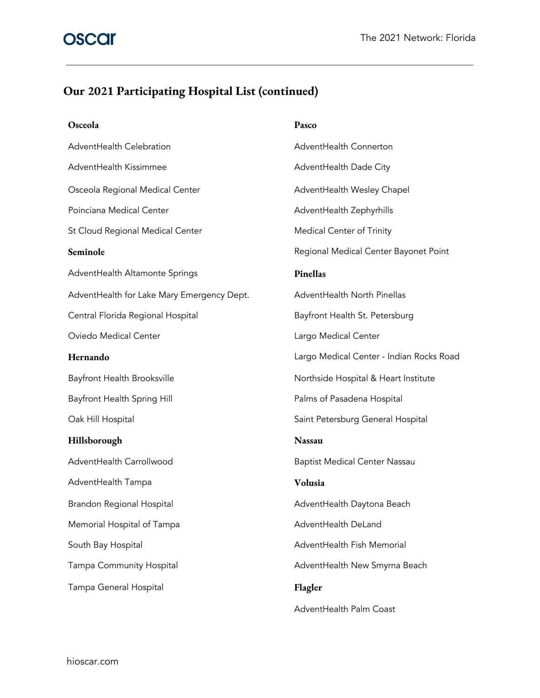## **Our 2021 Participating Hospital List (continued)**

| Osceola                                    | Pasco                                    |
|--------------------------------------------|------------------------------------------|
| AdventHealth Celebration                   | AdventHealth Connerton                   |
| AdventHealth Kissimmee                     | AdventHealth Dade City                   |
| Osceola Regional Medical Center            | AdventHealth Wesley Chapel               |
| Poinciana Medical Center                   | AdventHealth Zephyrhills                 |
| St Cloud Regional Medical Center           | Medical Center of Trinity                |
| Seminole                                   | Regional Medical Center Bayonet Point    |
| AdventHealth Altamonte Springs             | Pinellas                                 |
| AdventHealth for Lake Mary Emergency Dept. | AdventHealth North Pinellas              |
| Central Florida Regional Hospital          | Bayfront Health St. Petersburg           |
| Oviedo Medical Center                      | Largo Medical Center                     |
| Hernando                                   | Largo Medical Center - Indian Rocks Road |
| Bayfront Health Brooksville                | Northside Hospital & Heart Institute     |
| Bayfront Health Spring Hill                | Palms of Pasadena Hospital               |
| Oak Hill Hospital                          | Saint Petersburg General Hospital        |
| Hillsborough                               | <b>Nassau</b>                            |
| AdventHealth Carrollwood                   | <b>Baptist Medical Center Nassau</b>     |
| AdventHealth Tampa                         | Volusia                                  |
| Brandon Regional Hospital                  | AdventHealth Daytona Beach               |
| Memorial Hospital of Tampa                 | AdventHealth DeLand                      |
| South Bay Hospital                         | AdventHealth Fish Memorial               |
| Tampa Community Hospital                   | AdventHealth New Smyrna Beach            |
| Tampa General Hospital                     | Flagler                                  |
|                                            | AdventHealth Palm Coast                  |